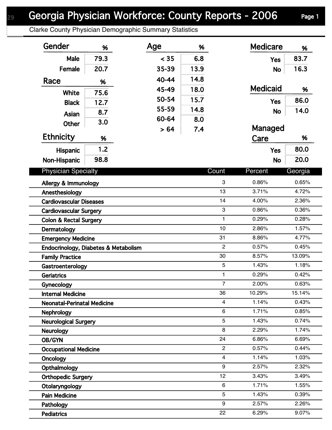Clarke County Physician Demographic Summary Statistics

| Gender                               | %    | Age   | %    |                | <b>Medicare</b> | %       |
|--------------------------------------|------|-------|------|----------------|-----------------|---------|
| Male                                 | 79.3 | < 35  | 6.8  |                | <b>Yes</b>      | 83.7    |
| Female                               | 20.7 | 35-39 | 13.9 |                | <b>No</b>       | 16.3    |
| Race                                 |      | 40-44 | 14.8 |                |                 |         |
|                                      | %    | 45-49 | 18.0 |                | <b>Medicaid</b> | %       |
| White                                | 75.6 | 50-54 | 15.7 |                |                 | 86.0    |
| <b>Black</b>                         | 12.7 | 55-59 | 14.8 |                | <b>Yes</b>      |         |
| Asian                                | 8.7  | 60-64 |      |                | <b>No</b>       | 14.0    |
| <b>Other</b>                         | 3.0  |       | 8.0  |                | Managed         |         |
| <b>Ethnicity</b>                     | %    | > 64  | 7.4  |                | Care            | %       |
| Hispanic                             | 1.2  |       |      |                | <b>Yes</b>      | 80.0    |
| Non-Hispanic                         | 98.8 |       |      |                | <b>No</b>       | 20.0    |
|                                      |      |       |      |                |                 |         |
| <b>Physician Specialty</b>           |      |       |      | Count          | Percent         | Georgia |
| Allergy & Immunology                 |      |       |      | 3              | 0.86%           | 0.65%   |
| Anesthesiology                       |      |       |      | 13             | 3.71%           | 4.72%   |
| <b>Cardiovascular Diseases</b>       |      |       |      | 14             | 4.00%           | 2.36%   |
| <b>Cardiovascular Surgery</b>        |      |       |      | 3              | 0.86%           | 0.36%   |
| <b>Colon &amp; Rectal Surgery</b>    |      |       |      | $\mathbf{1}$   | 0.29%           | 0.28%   |
| Dermatology                          |      |       |      | 10             | 2.86%           | 1.57%   |
| <b>Emergency Medicine</b>            |      |       |      | 31             | 8.86%           | 4.77%   |
| Endocrinology, Diabetes & Metabolism |      |       |      | $\overline{2}$ | 0.57%           | 0.45%   |
| <b>Family Practice</b>               |      |       |      | 30             | 8.57%           | 13.09%  |
| Gastroenterology                     |      |       |      | 5              | 1.43%           | 1.18%   |
| <b>Geriatrics</b>                    |      |       |      | $\mathbf{1}$   | 0.29%           | 0.42%   |
| <b>Gynecology</b>                    |      |       |      | $\overline{7}$ | 2.00%           | 0.63%   |
| <b>Internal Medicine</b>             |      |       |      | 36             | 10.29%          | 15.14%  |
| <b>Neonatal-Perinatal Medicine</b>   |      |       |      | 4              | 1.14%           | 0.43%   |
| <b>Nephrology</b>                    |      |       |      | 6              | 1.71%           | 0.85%   |
| <b>Neurological Surgery</b>          |      |       |      | 5              | 1.43%           | 0.74%   |
| Neurology                            |      |       |      | 8              | 2.29%           | 1.74%   |
| OB/GYN                               |      |       |      | 24             | 6.86%           | 6.69%   |
| <b>Occupational Medicine</b>         |      |       |      | $\overline{c}$ | 0.57%           | 0.44%   |
| Oncology                             |      |       |      | 4              | 1.14%           | 1.03%   |
| Opthalmology                         |      |       |      | 9              | 2.57%           | 2.32%   |
| <b>Orthopedic Surgery</b>            |      |       |      | 12             | 3.43%           | 3.49%   |
| Otolaryngology                       |      |       |      | 6              | 1.71%           | 1.55%   |
| <b>Pain Medicine</b>                 |      |       |      | 5              | 1.43%           | 0.39%   |
| Pathology                            |      |       |      | 9              | 2.57%           | 2.26%   |
| <b>Pediatrics</b>                    |      |       |      | 22             | 6.29%           | 9.07%   |